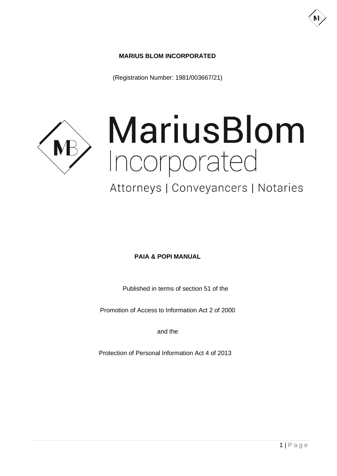## **MARIUS BLOM INCORPORATED**

(Registration Number: 1981/003667/21)



# MariusBlom Incorporated

# Attorneys | Conveyancers | Notaries

#### **PAIA & POPI MANUAL**

Published in terms of section 51 of the

Promotion of Access to Information Act 2 of 2000

and the

Protection of Personal Information Act 4 of 2013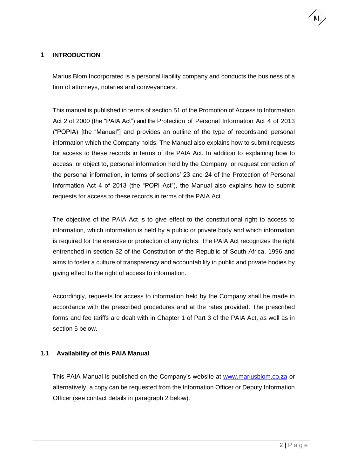

#### **1 INTRODUCTION**

Marius Blom Incorporated is a personal liability company and conducts the business of a firm of attorneys, notaries and conveyancers.

This manual is published in terms of section 51 of the Promotion of Access to Information Act 2 of 2000 (the "PAIA Act") and the Protection of Personal Information Act 4 of 2013 ("POPIA) [the "Manual"] and provides an outline of the type of recordsand personal information which the Company holds. The Manual also explains how to submit requests for access to these records in terms of the PAIA Act. In addition to explaining how to access, or object to, personal information held by the Company, or request correction of the personal information, in terms of sections' 23 and 24 of the Protection of Personal Information Act 4 of 2013 (the "POPI Act"), the Manual also explains how to submit requests for access to these records in terms of the PAIA Act.

The objective of the PAIA Act is to give effect to the constitutional right to access to information, which information is held by a public or private body and which information is required for the exercise or protection of any rights. The PAIA Act recognizes the right entrenched in section 32 of the Constitution of the Republic of South Africa, 1996 and aims to foster a culture of transparency and accountability in public and private bodies by giving effect to the right of access to information.

Accordingly, requests for access to information held by the Company shall be made in accordance with the prescribed procedures and at the rates provided. The prescribed forms and fee tariffs are dealt with in Chapter 1 of Part 3 of the PAIA Act, as well as in section 5 below.

#### **1.1 Availability of this PAIA Manual**

This PAIA Manual is published on the Company's website at [www.mariusblom.co.za](http://www.mariusblom.co.za/) or alternatively, a copy can be requested from the Information Officer or Deputy Information Officer (see contact details in paragraph 2 below).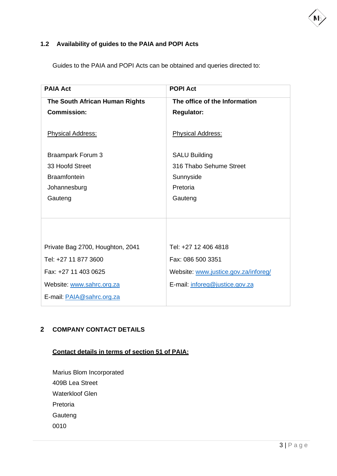

# **1.2 Availability of guides to the PAIA and POPI Acts**

Guides to the PAIA and POPI Acts can be obtained and queries directed to:

| <b>PAIA Act</b>                  | <b>POPI Act</b>                      |
|----------------------------------|--------------------------------------|
| The South African Human Rights   | The office of the Information        |
| <b>Commission:</b>               | <b>Regulator:</b>                    |
| <b>Physical Address:</b>         | <b>Physical Address:</b>             |
| <b>Braampark Forum 3</b>         | <b>SALU Building</b>                 |
| 33 Hoofd Street                  | 316 Thabo Sehume Street              |
| <b>Braamfontein</b>              | Sunnyside                            |
| Johannesburg                     | Pretoria                             |
| Gauteng                          | Gauteng                              |
|                                  |                                      |
|                                  |                                      |
| Private Bag 2700, Houghton, 2041 | Tel: +27 12 406 4818                 |
| Tel: +27 11 877 3600             | Fax: 086 500 3351                    |
| Fax: +27 11 403 0625             | Website: www.justice.gov.za/inforeg/ |
| Website: www.sahrc.org.za        | E-mail: inforeg@justice.gov.za       |
| E-mail: PAIA@sahrc.org.za        |                                      |

## **2 COMPANY CONTACT DETAILS**

# **Contact details in terms of section 51 of PAIA:**

Marius Blom Incorporated 409B Lea Street Waterkloof Glen Pretoria Gauteng 0010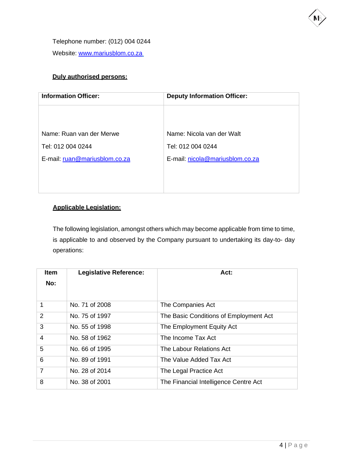Telephone number: (012) 004 0244 Website: [www.mariusblom.co.za](http://www.mariusblom.co.za/)

#### **Duly authorised persons:**

| <b>Information Officer:</b>   | <b>Deputy Information Officer:</b> |  |  |  |  |  |
|-------------------------------|------------------------------------|--|--|--|--|--|
|                               |                                    |  |  |  |  |  |
| Name: Ruan van der Merwe      | Name: Nicola van der Walt          |  |  |  |  |  |
| Tel: 012 004 0244             | Tel: 012 004 0244                  |  |  |  |  |  |
| E-mail: ruan@mariusblom.co.za | E-mail: nicola@mariusblom.co.za    |  |  |  |  |  |
|                               |                                    |  |  |  |  |  |
|                               |                                    |  |  |  |  |  |

# **Applicable Legislation:**

The following legislation, amongst others which may become applicable from time to time, is applicable to and observed by the Company pursuant to undertaking its day-to- day operations:

| <b>Item</b><br>No: | <b>Legislative Reference:</b> | Act:                                   |
|--------------------|-------------------------------|----------------------------------------|
|                    | No. 71 of 2008                | The Companies Act                      |
| 2                  | No. 75 of 1997                | The Basic Conditions of Employment Act |
| 3                  | No. 55 of 1998                | The Employment Equity Act              |
| $\overline{4}$     | No. 58 of 1962                | The Income Tax Act                     |
| 5                  | No. 66 of 1995                | The Labour Relations Act               |
| 6                  | No. 89 of 1991                | The Value Added Tax Act                |
| $\overline{7}$     | No. 28 of 2014                | The Legal Practice Act                 |
| 8                  | No. 38 of 2001                | The Financial Intelligence Centre Act  |

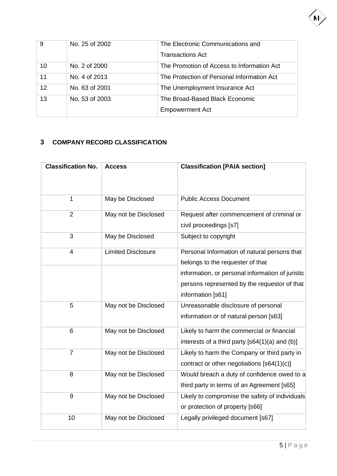

| 9  | No. 25 of 2002 | The Electronic Communications and          |
|----|----------------|--------------------------------------------|
|    |                | <b>Transactions Act</b>                    |
| 10 | No. 2 of 2000  | The Promotion of Access to Information Act |
| 11 | No. 4 of 2013  | The Protection of Personal Information Act |
| 12 | No. 63 of 2001 | The Unemployment Insurance Act             |
| 13 | No. 53 of 2003 | The Broad-Based Black Economic             |
|    |                | <b>Empowerment Act</b>                     |

# **3 COMPANY RECORD CLASSIFICATION**

| <b>Classification No.</b> | <b>Access</b>             | <b>Classification [PAIA section]</b>             |  |  |  |  |  |  |
|---------------------------|---------------------------|--------------------------------------------------|--|--|--|--|--|--|
|                           |                           |                                                  |  |  |  |  |  |  |
| $\mathbf{1}$              | May be Disclosed          | <b>Public Access Document</b>                    |  |  |  |  |  |  |
| $\overline{2}$            | May not be Disclosed      | Request after commencement of criminal or        |  |  |  |  |  |  |
|                           |                           | civil proceedings [s7]                           |  |  |  |  |  |  |
| 3                         | May be Disclosed          | Subject to copyright                             |  |  |  |  |  |  |
| 4                         | <b>Limited Disclosure</b> | Personal Information of natural persons that     |  |  |  |  |  |  |
|                           |                           | belongs to the requester of that                 |  |  |  |  |  |  |
|                           |                           | information, or personal information of juristic |  |  |  |  |  |  |
|                           |                           | persons represented by the requestor of that     |  |  |  |  |  |  |
|                           |                           | information [s61]                                |  |  |  |  |  |  |
| 5                         | May not be Disclosed      | Unreasonable disclosure of personal              |  |  |  |  |  |  |
|                           |                           | information or of natural person [s63]           |  |  |  |  |  |  |
| 6                         | May not be Disclosed      | Likely to harm the commercial or financial       |  |  |  |  |  |  |
|                           |                           | interests of a third party $[64(1)(a) and (b)]$  |  |  |  |  |  |  |
| $\overline{7}$            | May not be Disclosed      | Likely to harm the Company or third party in     |  |  |  |  |  |  |
|                           |                           | contract or other negotiations [s64(1)(c)]       |  |  |  |  |  |  |
| 8                         | May not be Disclosed      | Would breach a duty of confidence owed to a      |  |  |  |  |  |  |
|                           |                           | third party in terms of an Agreement [s65]       |  |  |  |  |  |  |
| 9                         | May not be Disclosed      | Likely to compromise the safety of individuals   |  |  |  |  |  |  |
|                           |                           | or protection of property [s66]                  |  |  |  |  |  |  |
| 10                        | May not be Disclosed      | Legally privileged document [s67]                |  |  |  |  |  |  |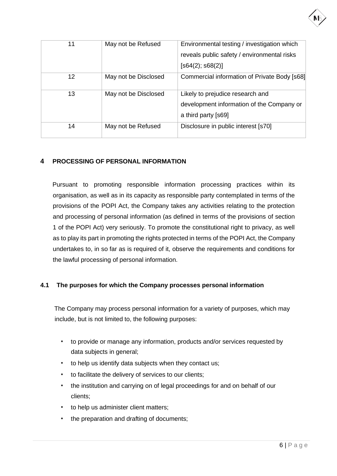| 11 | May not be Refused   | Environmental testing / investigation which  |  |  |  |  |  |
|----|----------------------|----------------------------------------------|--|--|--|--|--|
|    |                      | reveals public safety / environmental risks  |  |  |  |  |  |
|    |                      | [ <b>s64(2)</b> ; <b>s68(2)</b> ]            |  |  |  |  |  |
| 12 | May not be Disclosed | Commercial information of Private Body [s68] |  |  |  |  |  |
| 13 | May not be Disclosed | Likely to prejudice research and             |  |  |  |  |  |
|    |                      | development information of the Company or    |  |  |  |  |  |
|    |                      | a third party [s69]                          |  |  |  |  |  |
| 14 | May not be Refused   | Disclosure in public interest [s70]          |  |  |  |  |  |

# **4 PROCESSING OF PERSONAL INFORMATION**

Pursuant to promoting responsible information processing practices within its organisation, as well as in its capacity as responsible party contemplated in terms of the provisions of the POPI Act, the Company takes any activities relating to the protection and processing of personal information (as defined in terms of the provisions of section 1 of the POPI Act) very seriously. To promote the constitutional right to privacy, as well as to play its part in promoting the rights protected in terms of the POPI Act, the Company undertakes to, in so far as is required of it, observe the requirements and conditions for the lawful processing of personal information.

#### **4.1 The purposes for which the Company processes personal information**

The Company may process personal information for a variety of purposes, which may include, but is not limited to, the following purposes:

- to provide or manage any information, products and/or services requested by data subjects in general;
- to help us identify data subjects when they contact us;
- to facilitate the delivery of services to our clients;
- the institution and carrying on of legal proceedings for and on behalf of our clients;
- to help us administer client matters;
- the preparation and drafting of documents;

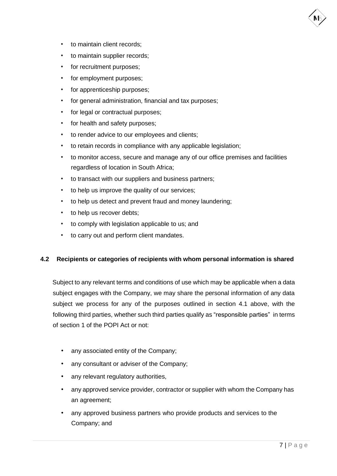- to maintain client records;
- to maintain supplier records;
- for recruitment purposes;
- for employment purposes;
- for apprenticeship purposes;
- for general administration, financial and tax purposes;
- for legal or contractual purposes;
- for health and safety purposes;
- to render advice to our employees and clients;
- to retain records in compliance with any applicable legislation;
- to monitor access, secure and manage any of our office premises and facilities regardless of location in South Africa;
- to transact with our suppliers and business partners;
- to help us improve the quality of our services;
- to help us detect and prevent fraud and money laundering;
- to help us recover debts;
- to comply with legislation applicable to us; and
- to carry out and perform client mandates.

#### **4.2 Recipients or categories of recipients with whom personal information is shared**

Subject to any relevant terms and conditions of use which may be applicable when a data subject engages with the Company, we may share the personal information of any data subject we process for any of the purposes outlined in section 4.1 above, with the following third parties, whether such third parties qualify as "responsible parties" in terms of section 1 of the POPI Act or not:

- any associated entity of the Company;
- any consultant or adviser of the Company;
- any relevant regulatory authorities,
- any approved service provider, contractor or supplier with whom the Company has an agreement;
- any approved business partners who provide products and services to the Company; and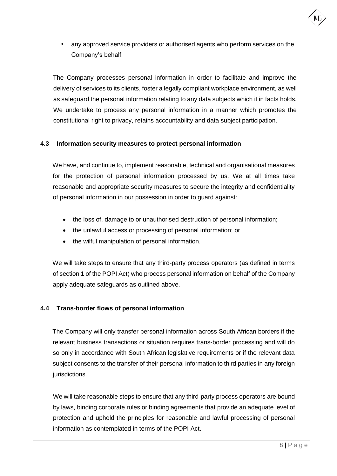

any approved service providers or authorised agents who perform services on the Company's behalf.

The Company processes personal information in order to facilitate and improve the delivery of services to its clients, foster a legally compliant workplace environment, as well as safeguard the personal information relating to any data subjects which it in facts holds. We undertake to process any personal information in a manner which promotes the constitutional right to privacy, retains accountability and data subject participation.

#### **4.3 Information security measures to protect personal information**

We have, and continue to, implement reasonable, technical and organisational measures for the protection of personal information processed by us. We at all times take reasonable and appropriate security measures to secure the integrity and confidentiality of personal information in our possession in order to guard against:

- the loss of, damage to or unauthorised destruction of personal information;
- the unlawful access or processing of personal information; or
- the wilful manipulation of personal information.

We will take steps to ensure that any third-party process operators (as defined in terms of section 1 of the POPI Act) who process personal information on behalf of the Company apply adequate safeguards as outlined above.

#### **4.4 Trans-border flows of personal information**

The Company will only transfer personal information across South African borders if the relevant business transactions or situation requires trans-border processing and will do so only in accordance with South African legislative requirements or if the relevant data subject consents to the transfer of their personal information to third parties in any foreign jurisdictions.

We will take reasonable steps to ensure that any third-party process operators are bound by laws, binding corporate rules or binding agreements that provide an adequate level of protection and uphold the principles for reasonable and lawful processing of personal information as contemplated in terms of the POPI Act.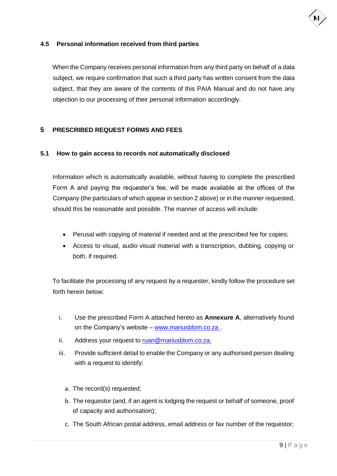

#### **4.5 Personal information received from third parties**

When the Company receives personal information from any third party on behalf of a data subject, we require confirmation that such a third party has written consent from the data subject, that they are aware of the contents of this PAIA Manual and do not have any objection to our processing of their personal information accordingly.

#### **5 PRESCRIBED REQUEST FORMS AND FEES**

#### **5.1 How to gain access to records not automatically disclosed**

Information which is automatically available, without having to complete the prescribed Form A and paying the requester's fee, will be made available at the offices of the Company (the particulars of which appear in section 2 above) or in the manner requested, should this be reasonable and possible. The manner of access will include:

- Perusal with copying of material if needed and at the prescribed fee for copies;
- Access to visual, audio visual material with a transcription, dubbing, copying or both, if required.

To facilitate the processing of any request by a requester, kindly follow the procedure set forth herein below:

- i. Use the prescribed Form A attached hereto as **Annexure A**, alternatively found on the Company's website – www.mariusblom.co.za .
- ii. Address your request to [ruan@mariusblom.co.za.](mailto:ruan@mariusblom.co.za.)
- iii. Provide sufficient detail to enable the Company or any authorised person dealing with a request to identify:
	- a. The record(s) requested;
	- b. The requestor (and, if an agent is lodging the request or behalf of someone, proof of capacity and authorisation);
	- c. The South African postal address, email address or fax number of the requestor;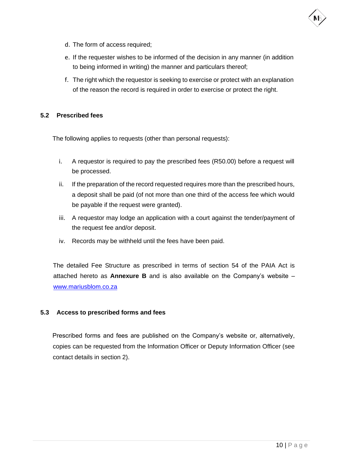

- d. The form of access required;
- e. If the requester wishes to be informed of the decision in any manner (in addition to being informed in writing) the manner and particulars thereof;
- f. The right which the requestor is seeking to exercise or protect with an explanation of the reason the record is required in order to exercise or protect the right.

#### **5.2 Prescribed fees**

The following applies to requests (other than personal requests):

- i. A requestor is required to pay the prescribed fees (R50.00) before a request will be processed.
- ii. If the preparation of the record requested requires more than the prescribed hours, a deposit shall be paid (of not more than one third of the access fee which would be payable if the request were granted).
- iii. A requestor may lodge an application with a court against the tender/payment of the request fee and/or deposit.
- iv. Records may be withheld until the fees have been paid.

The detailed Fee Structure as prescribed in terms of section 54 of the PAIA Act is attached hereto as **Annexure B** and is also available on the Company's website – [www.mariusblom.co.za](http://www.mariusblom.co.za/)

#### **5.3 Access to prescribed forms and fees**

Prescribed forms and fees are published on the Company's website or, alternatively, copies can be requested from the Information Officer or Deputy Information Officer (see contact details in section 2).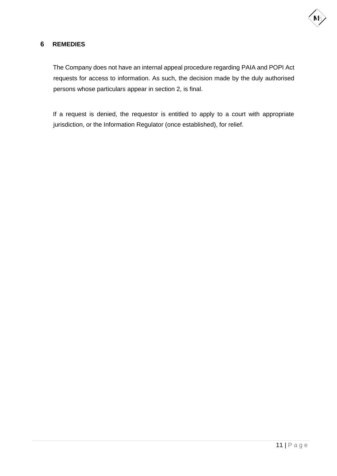

#### **6 REMEDIES**

The Company does not have an internal appeal procedure regarding PAIA and POPI Act requests for access to information. As such, the decision made by the duly authorised persons whose particulars appear in section 2, is final.

If a request is denied, the requestor is entitled to apply to a court with appropriate jurisdiction, or the Information Regulator (once established), for relief.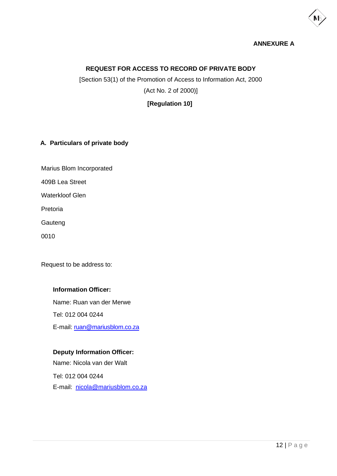

#### **ANNEXURE A**

#### **REQUEST FOR ACCESS TO RECORD OF PRIVATE BODY**

[Section 53(1) of the Promotion of Access to Information Act, 2000 (Act No. 2 of 2000)]

**[Regulation 10]**

#### **A. Particulars of private body**

Marius Blom Incorporated

409B Lea Street

Waterkloof Glen

Pretoria

Gauteng

0010

Request to be address to:

#### **Information Officer:**

Name: Ruan van der Merwe Tel: 012 004 0244 E-mail: [ruan@mariusblom.co.za](mailto:ruan@mariusblom.co.za)

#### **Deputy Information Officer:**

Name: Nicola van der Walt

Tel: 012 004 0244 E-mail: [nicola@mariusblom.co.za](mailto:nicola@mariusblom.co.za)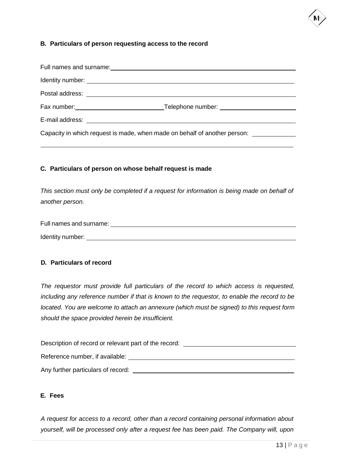#### **B. Particulars of person requesting access to the record**

| Identity number: <u>contract and contract and contract and contract and contract and contract and contract and contract and contract and contract and contract and contract and contract and contract and contract and contract </u> |
|--------------------------------------------------------------------------------------------------------------------------------------------------------------------------------------------------------------------------------------|
|                                                                                                                                                                                                                                      |
|                                                                                                                                                                                                                                      |
|                                                                                                                                                                                                                                      |
| Capacity in which request is made, when made on behalf of another person: ____________                                                                                                                                               |

#### **C. Particulars of person on whose behalf request is made**

*This section must only be completed if a request for information is being made on behalf of another person.*

| Full names and surname: |  |
|-------------------------|--|
| Identity number:        |  |

#### **D. Particulars of record**

*The requestor must provide full particulars of the record to which access is requested, including any reference number if that is known to the requestor, to enable the record to be located. You are welcome to attach an annexure (which must be signed) to this request form should the space provided herein be insufficient.*

| Description of record or relevant part of the record: |  |
|-------------------------------------------------------|--|
| Reference number, if available:                       |  |
| Any further particulars of record:                    |  |

#### **E. Fees**

*A request for access to a record, other than a record containing personal information about yourself, will be processed only after a request fee has been paid. The Company will, upon*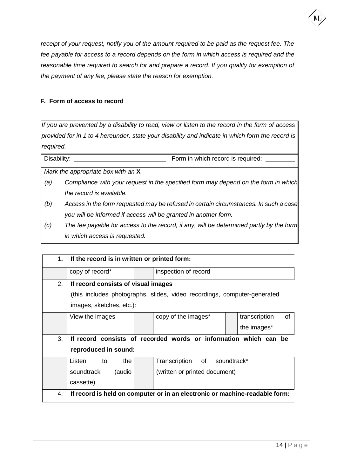

*receipt of your request, notify you of the amount required to be paid as the request fee. The fee payable for access to a record depends on the form in which access is required and the reasonable time required to search for and prepare a record. If you qualify for exemption of the payment of any fee, please state the reason for exemption.*

#### **F. Form of access to record**

If you are prevented by a disability to read, view or listen to the record in the form of access *provided for in 1 to 4 hereunder, state your disability and indicate in which form the record is required.*

| Disability: | Form in which record is required: |
|-------------|-----------------------------------|
|             |                                   |

*Mark the appropriate box with an* **X***.*

- *(a) Compliance with your request in the specified form may depend on the form in which the record is available.*
- *(b) Access in the form requested may be refused in certain circumstances. In such a case you will be informed if access will be granted in another form.*
- *(c) The fee payable for access to the record, if any, will be determined partly by the form in which access is requested.*

|                | 1. If the record is in written or printed form:                  |  |                                                                             |  |                     |  |  |  |  |
|----------------|------------------------------------------------------------------|--|-----------------------------------------------------------------------------|--|---------------------|--|--|--|--|
|                | copy of record*                                                  |  | inspection of record                                                        |  |                     |  |  |  |  |
| 2 <sub>1</sub> | If record consists of visual images                              |  |                                                                             |  |                     |  |  |  |  |
|                |                                                                  |  | (this includes photographs, slides, video recordings, computer-generated    |  |                     |  |  |  |  |
|                | images, sketches, etc.):                                         |  |                                                                             |  |                     |  |  |  |  |
|                | View the images                                                  |  | copy of the images*                                                         |  | transcription<br>οf |  |  |  |  |
|                |                                                                  |  |                                                                             |  | the images*         |  |  |  |  |
| 3.             | If record consists of recorded words or information which can be |  |                                                                             |  |                     |  |  |  |  |
|                | reproduced in sound:                                             |  |                                                                             |  |                     |  |  |  |  |
|                | Listen<br>the<br>to                                              |  | Transcription of soundtrack*                                                |  |                     |  |  |  |  |
|                | soundtrack<br>(audio                                             |  | (written or printed document)                                               |  |                     |  |  |  |  |
|                | cassette)                                                        |  |                                                                             |  |                     |  |  |  |  |
| 4.             |                                                                  |  | If record is held on computer or in an electronic or machine-readable form: |  |                     |  |  |  |  |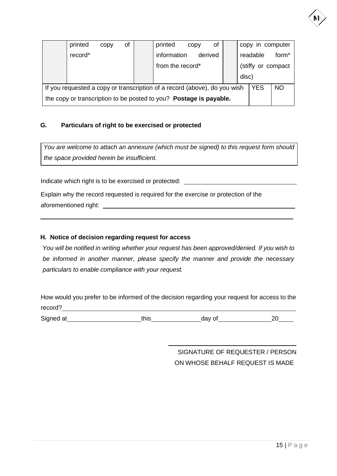|                                                                                                      | printed                                                            | CODV | of |  | printed          | CODV | of      |       | copy in computer    |                   |
|------------------------------------------------------------------------------------------------------|--------------------------------------------------------------------|------|----|--|------------------|------|---------|-------|---------------------|-------------------|
|                                                                                                      | record*                                                            |      |    |  | information      |      | derived |       | readable            | form <sup>*</sup> |
|                                                                                                      |                                                                    |      |    |  | from the record* |      |         |       | (stiffy or compact) |                   |
|                                                                                                      |                                                                    |      |    |  |                  |      |         | disc) |                     |                   |
| <b>YES</b><br><b>NO</b><br>If you requested a copy or transcription of a record (above), do you wish |                                                                    |      |    |  |                  |      |         |       |                     |                   |
|                                                                                                      | the copy or transcription to be posted to you? Postage is payable. |      |    |  |                  |      |         |       |                     |                   |

#### **G. Particulars of right to be exercised or protected**

*You are welcome to attach an annexure (which must be signed) to this request form should the space provided herein be insufficient.*

Indicate which right is to be exercised or protected: \_\_\_\_\_\_\_\_\_\_\_\_\_\_\_\_\_\_\_\_\_\_\_\_\_\_

Explain why the record requested is required for the exercise or protection of the aforementioned right:

#### **H. Notice of decision regarding request for access**

*You will be notified in writing whether your request has been approved/denied. If you wish to be informed in another manner, please specify the manner and provide the necessary particulars to enable compliance with your request.*

How would you prefer to be informed of the decision regarding your request for access to the record?

Signed at this this day of 20

SIGNATURE OF REQUESTER / PERSON ON WHOSE BEHALF REQUEST IS MADE



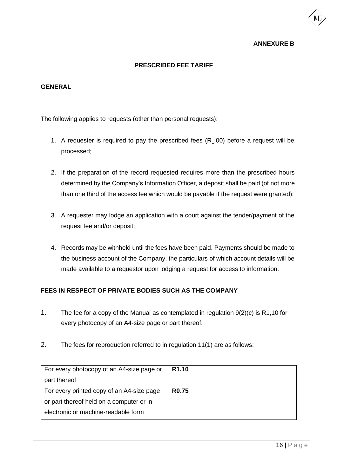#### **ANNEXURE B**

#### **PRESCRIBED FEE TARIFF**

#### **GENERAL**

The following applies to requests (other than personal requests):

- 1. A requester is required to pay the prescribed fees (R .00) before a request will be processed;
- 2. If the preparation of the record requested requires more than the prescribed hours determined by the Company's Information Officer, a deposit shall be paid (of not more than one third of the access fee which would be payable if the request were granted);
- 3. A requester may lodge an application with a court against the tender/payment of the request fee and/or deposit;
- 4. Records may be withheld until the fees have been paid. Payments should be made to the business account of the Company, the particulars of which account details will be made available to a requestor upon lodging a request for access to information.

#### **FEES IN RESPECT OF PRIVATE BODIES SUCH AS THE COMPANY**

- 1. The fee for a copy of the Manual as contemplated in regulation 9(2)(c) is R1,10 for every photocopy of an A4-size page or part thereof.
- 2. The fees for reproduction referred to in regulation 11(1) are as follows:

| For every photocopy of an A4-size page or | R <sub>1.10</sub> |
|-------------------------------------------|-------------------|
| part thereof                              |                   |
| For every printed copy of an A4-size page | <b>R0.75</b>      |
| or part thereof held on a computer or in  |                   |
| electronic or machine-readable form       |                   |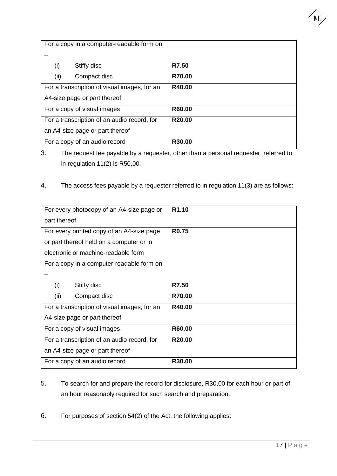| For a copy in a computer-readable form on    |                    |
|----------------------------------------------|--------------------|
|                                              |                    |
| (i)<br>Stiffy disc                           | R7.50              |
| (ii)<br>Compact disc                         | R70.00             |
| For a transcription of visual images, for an | R40.00             |
| A4-size page or part thereof                 |                    |
| For a copy of visual images                  | R60.00             |
| For a transcription of an audio record, for  | R <sub>20.00</sub> |
| an A4-size page or part thereof              |                    |
| For a copy of an audio record                | R30.00             |

3. The request fee payable by a requester, other than a personal requester, referred to in regulation 11(2) is R50,00.

4. The access fees payable by a requester referred to in regulation 11(3) are as follows:

| For every photocopy of an A4-size page or    | R <sub>1.10</sub>   |
|----------------------------------------------|---------------------|
| part thereof                                 |                     |
| For every printed copy of an A4-size page    | <b>R0.75</b>        |
| or part thereof held on a computer or in     |                     |
| electronic or machine-readable form          |                     |
| For a copy in a computer-readable form on    |                     |
|                                              |                     |
| (i)<br>Stiffy disc                           | R7.50               |
| (ii)<br>Compact disc                         | R70.00              |
| For a transcription of visual images, for an | R40.00              |
| A4-size page or part thereof                 |                     |
| For a copy of visual images                  | R60.00              |
| For a transcription of an audio record, for  | R <sub>20</sub> .00 |
| an A4-size page or part thereof              |                     |
| For a copy of an audio record                | R30.00              |

- 5. To search for and prepare the record for disclosure, R30,00 for each hour or part of an hour reasonably required for such search and preparation.
- 6. For purposes of section 54(2) of the Act, the following applies: